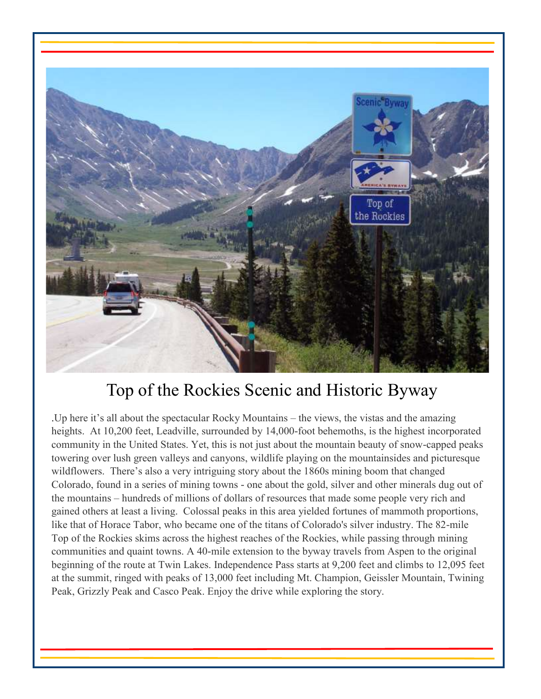

# Top of the Rockies Scenic and Historic Byway

.Up here it's all about the spectacular Rocky Mountains – the views, the vistas and the amazing heights. At 10,200 feet, Leadville, surrounded by 14,000-foot behemoths, is the highest incorporated community in the United States. Yet, this is not just about the mountain beauty of snow-capped peaks towering over lush green valleys and canyons, wildlife playing on the mountainsides and picturesque wildflowers. There's also a very intriguing story about the 1860s mining boom that changed Colorado, found in a series of mining towns - one about the gold, silver and other minerals dug out of the mountains – hundreds of millions of dollars of resources that made some people very rich and gained others at least a living. Colossal peaks in this area yielded fortunes of mammoth proportions, like that of Horace Tabor, who became one of the titans of Colorado's silver industry. The 82-mile Top of the Rockies skims across the highest reaches of the Rockies, while passing through mining communities and quaint towns. A 40-mile extension to the byway travels from Aspen to the original beginning of the route at Twin Lakes. Independence Pass starts at 9,200 feet and climbs to 12,095 feet at the summit, ringed with peaks of 13,000 feet including Mt. Champion, Geissler Mountain, Twining Peak, Grizzly Peak and Casco Peak. Enjoy the drive while exploring the story.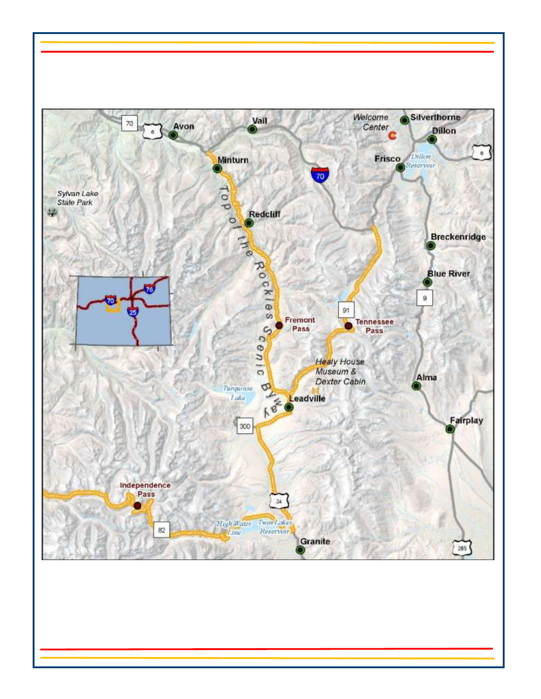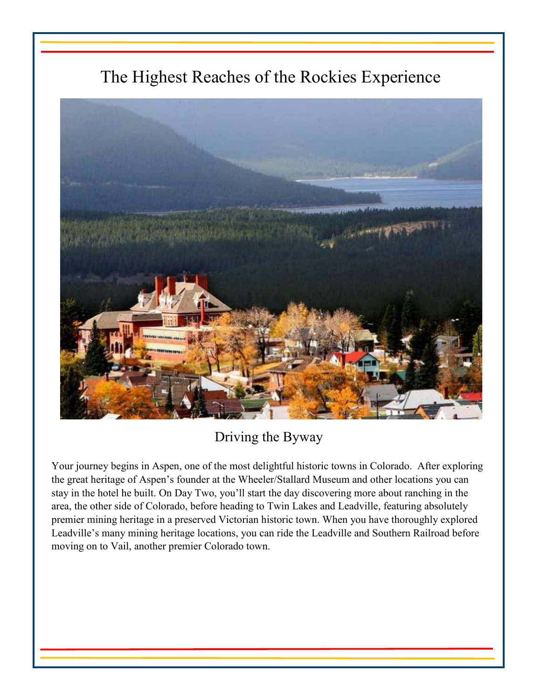# The Highest Reaches of the Rockies Experience



Driving the Byway

Your journey begins in Aspen, one of the most delightful historic towns in Colorado. After exploring the great heritage of Aspen's founder at the Wheeler/Stallard Museum and other locations you can stay in the hotel he built. On Day Two, you'll start the day discovering more about ranching in the area, the other side of Colorado, before heading to Twin Lakes and Leadville, featuring absolutely premier mining heritage in a preserved Victorian historic town. When you have thoroughly explored Leadville's many mining heritage locations, you can ride the Leadville and Southern Railroad before moving on to Vail, another premier Colorado town.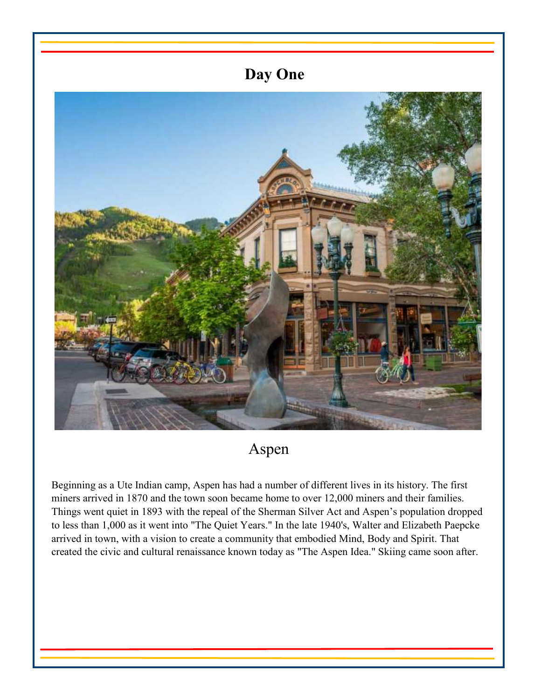# **Day One**

Aspen

Beginning as a Ute Indian camp, Aspen has had a number of different lives in its history. The first miners arrived in 1870 and the town soon became home to over 12,000 miners and their families. Things went quiet in 1893 with the repeal of the Sherman Silver Act and Aspen's population dropped to less than 1,000 as it went into "The Quiet Years." In the late 1940's, Walter and Elizabeth Paepcke arrived in town, with a vision to create a community that embodied Mind, Body and Spirit. That created the civic and cultural renaissance known today as "The Aspen Idea." Skiing came soon after.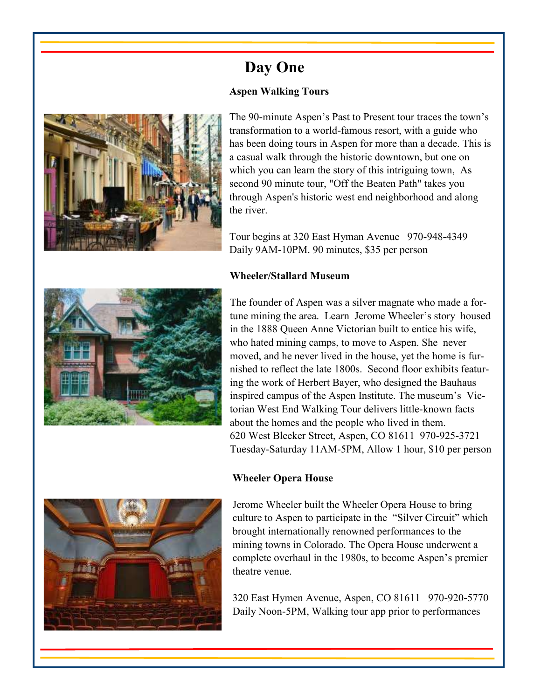

The 90-minute Aspen's Past to Present tour traces the town's transformation to a world-famous resort, with a guide who has been doing tours in Aspen for more than a decade. This is a casual walk through the historic downtown, but one on which you can learn the story of this intriguing town, As second 90 minute tour, "Off the Beaten Path" takes you through Aspen's historic west end neighborhood and along the river.

Tour begins at 320 East Hyman Avenue 970-948-4349 Daily 9AM-10PM. 90 minutes, \$35 per person

### **Wheeler/Stallard Museum**

**Day One** 

**Aspen Walking Tours**



The founder of Aspen was a silver magnate who made a fortune mining the area. Learn Jerome Wheeler's story housed in the 1888 Queen Anne Victorian built to entice his wife, who hated mining camps, to move to Aspen. She never moved, and he never lived in the house, yet the home is furnished to reflect the late 1800s. Second floor exhibits featuring the work of Herbert Bayer, who designed the Bauhaus inspired campus of the Aspen Institute. The museum's Victorian West End Walking Tour delivers little-known facts about the homes and the people who lived in them. 620 West Bleeker Street, Aspen, CO 81611 970-925-3721 Tuesday-Saturday 11AM-5PM, Allow 1 hour, \$10 per person

### **Wheeler Opera House**



320 East Hymen Avenue, Aspen, CO 81611 970-920-5770 Daily Noon-5PM, Walking tour app prior to performances

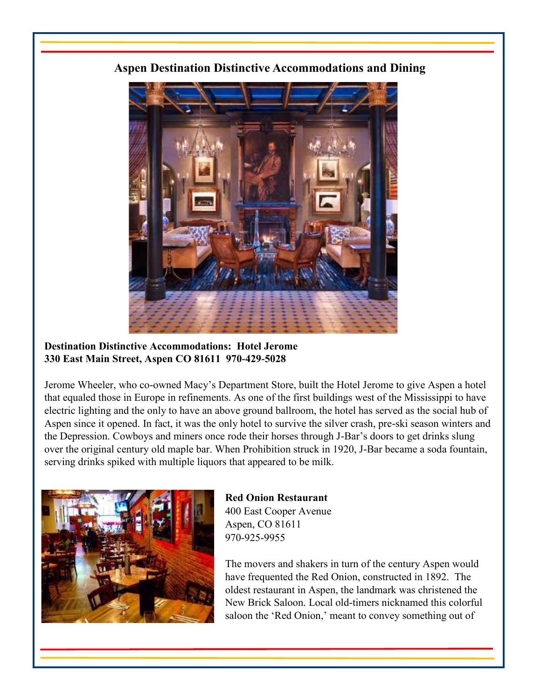# **Aspen Destination Distinctive Accommodations and Dining**



### **Destination Distinctive Accommodations: Hotel Jerome 330 East Main Street, Aspen CO 81611 970-429-5028**

Jerome Wheeler, who co-owned Macy's Department Store, built the Hotel Jerome to give Aspen a hotel that equaled those in Europe in refinements. As one of the first buildings west of the Mississippi to have electric lighting and the only to have an above ground ballroom, the hotel has served as the social hub of Aspen since it opened. In fact, it was the only hotel to survive the silver crash, pre-ski season winters and the Depression. Cowboys and miners once rode their horses through J-Bar's doors to get drinks slung over the original century old maple bar. When Prohibition struck in 1920, J-Bar became a soda fountain, serving drinks spiked with multiple liquors that appeared to be milk.



**Red Onion Restaurant**  400 East Cooper Avenue Aspen, CO 81611 970-925-9955

The movers and shakers in turn of the century Aspen would have frequented the Red Onion, constructed in 1892. The oldest restaurant in Aspen, the landmark was christened the New Brick Saloon. Local old-timers nicknamed this colorful saloon the 'Red Onion,' meant to convey something out of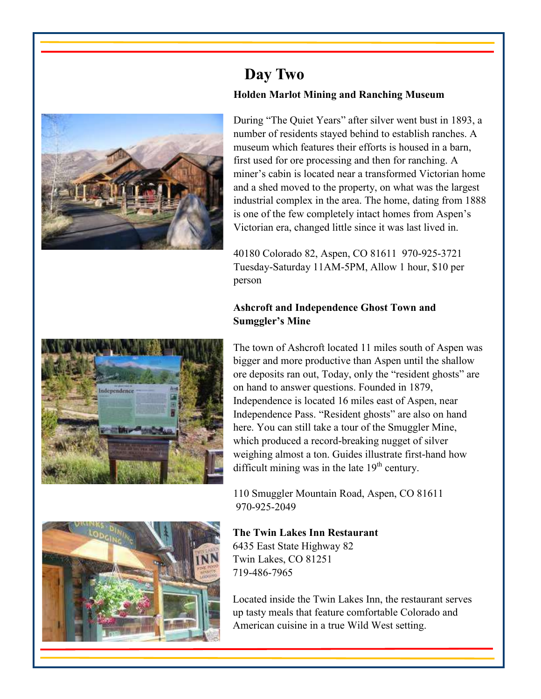

# **Day Two Holden Marlot Mining and Ranching Museum**

During "The Quiet Years" after silver went bust in 1893, a number of residents stayed behind to establish ranches. A museum which features their efforts is housed in a barn, first used for ore processing and then for ranching. A miner's cabin is located near a transformed Victorian home and a shed moved to the property, on what was the largest industrial complex in the area. The home, dating from 1888 is one of the few completely intact homes from Aspen's Victorian era, changed little since it was last lived in.

40180 Colorado 82, Aspen, CO 81611 970-925-3721 Tuesday-Saturday 11AM-5PM, Allow 1 hour, \$10 per person

# **Ashcroft and Independence Ghost Town and Sumggler's Mine**



The town of Ashcroft located 11 miles south of Aspen was bigger and more productive than Aspen until the shallow ore deposits ran out, Today, only the "resident ghosts" are on hand to answer questions. Founded in 1879, Independence is located 16 miles east of Aspen, near Independence Pass. "Resident ghosts" are also on hand here. You can still take a tour of the Smuggler Mine, which produced a record-breaking nugget of silver weighing almost a ton. Guides illustrate first-hand how difficult mining was in the late  $19<sup>th</sup>$  century.

110 Smuggler Mountain Road, Aspen, CO 81611 970-925-2049

# **The Twin Lakes Inn Restaurant**

6435 East State Highway 82 Twin Lakes, CO 81251 719-486-7965

Located inside the Twin Lakes Inn, the restaurant serves up tasty meals that feature comfortable Colorado and American cuisine in a true Wild West setting.

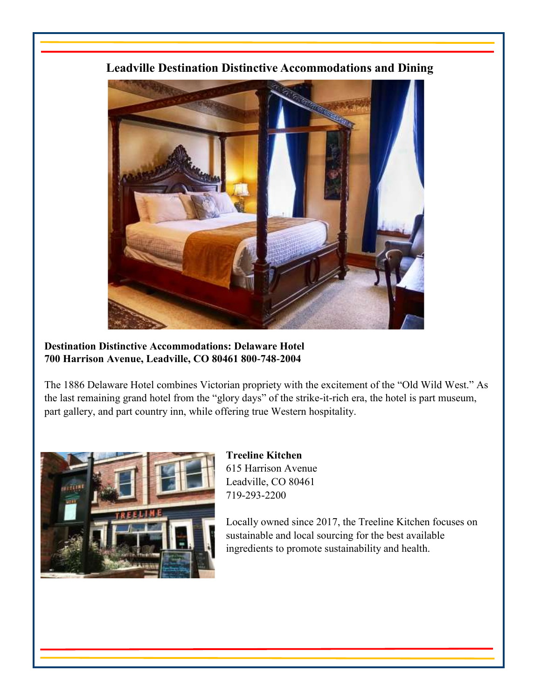

**Leadville Destination Distinctive Accommodations and Dining** 

### **Destination Distinctive Accommodations: Delaware Hotel 700 Harrison Avenue, Leadville, CO 80461 800-748-2004**

The 1886 Delaware Hotel combines Victorian propriety with the excitement of the "Old Wild West." As the last remaining grand hotel from the "glory days" of the strike-it-rich era, the hotel is part museum, part gallery, and part country inn, while offering true Western hospitality.



**Treeline Kitchen**  615 Harrison Avenue Leadville, CO 80461 719-293-2200

Locally owned since 2017, the Treeline Kitchen focuses on sustainable and local sourcing for the best available ingredients to promote sustainability and health.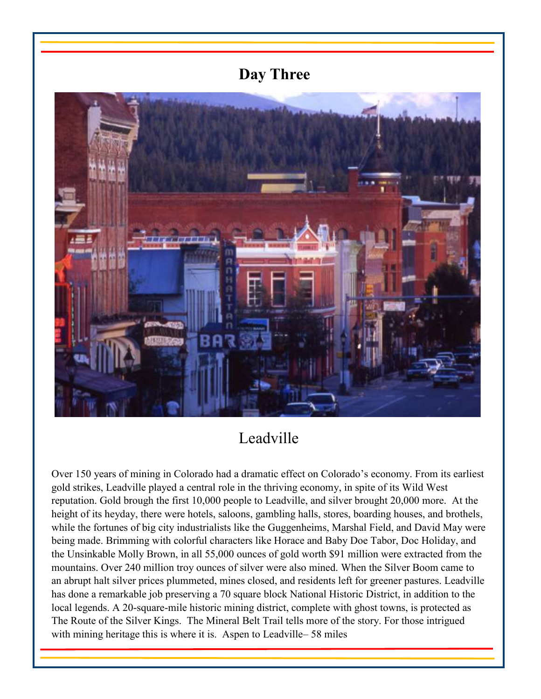# **Day Three**



# Leadville

Over 150 years of mining in Colorado had a dramatic effect on Colorado's economy. From its earliest gold strikes, Leadville played a central role in the thriving economy, in spite of its Wild West reputation. Gold brough the first 10,000 people to Leadville, and silver brought 20,000 more. At the height of its heyday, there were hotels, saloons, gambling halls, stores, boarding houses, and brothels, while the fortunes of big city industrialists like the Guggenheims, Marshal Field, and David May were being made. Brimming with colorful characters like Horace and Baby Doe Tabor, Doc Holiday, and the Unsinkable Molly Brown, in all 55,000 ounces of gold worth \$91 million were extracted from the mountains. Over 240 million troy ounces of silver were also mined. When the Silver Boom came to an abrupt halt silver prices plummeted, mines closed, and residents left for greener pastures. Leadville has done a remarkable job preserving a 70 square block National Historic District, in addition to the local legends. A 20-square-mile historic mining district, complete with ghost towns, is protected as The Route of the Silver Kings. The Mineral Belt Trail tells more of the story. For those intrigued with mining heritage this is where it is. Aspen to Leadville– 58 miles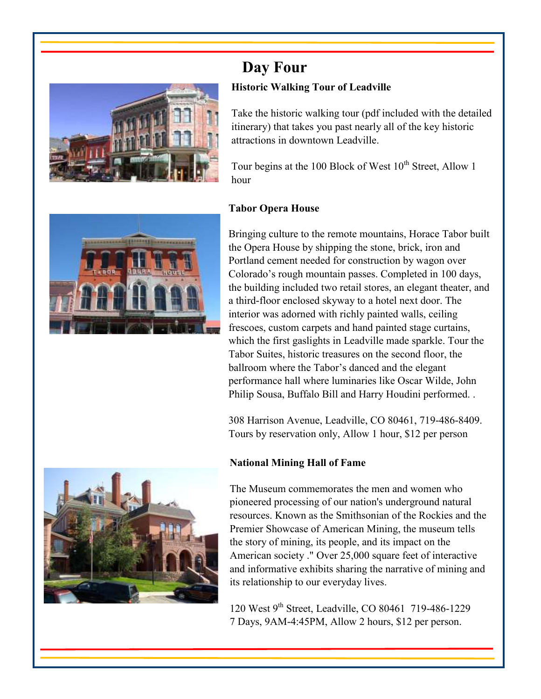

# **Day Four Historic Walking Tour of Leadville**

Take the historic walking tour (pdf included with the detailed itinerary) that takes you past nearly all of the key historic attractions in downtown Leadville.

Tour begins at the 100 Block of West  $10^{th}$  Street, Allow 1 hour

# **Tabor Opera House**



Bringing culture to the remote mountains, Horace Tabor built the Opera House by shipping the stone, brick, iron and Portland cement needed for construction by wagon over Colorado's rough mountain passes. Completed in 100 days, the building included two retail stores, an elegant theater, and a third-floor enclosed skyway to a hotel next door. The interior was adorned with richly painted walls, ceiling frescoes, custom carpets and hand painted stage curtains, which the first gaslights in Leadville made sparkle. Tour the Tabor Suites, historic treasures on the second floor, the ballroom where the Tabor's danced and the elegant performance hall where luminaries like Oscar Wilde, John Philip Sousa, Buffalo Bill and Harry Houdini performed. .

308 Harrison Avenue, Leadville, CO 80461, 719-486-8409. Tours by reservation only, Allow 1 hour, \$12 per person

# **National Mining Hall of Fame**

The Museum commemorates the men and women who pioneered processing of our nation's underground natural resources. Known as the Smithsonian of the Rockies and the Premier Showcase of American Mining, the museum tells the story of mining, its people, and its impact on the American society ." Over 25,000 square feet of interactive and informative exhibits sharing the narrative of mining and its relationship to our everyday lives.

120 West 9th Street, Leadville, CO 80461 719-486-1229 7 Days, 9AM-4:45PM, Allow 2 hours, \$12 per person.

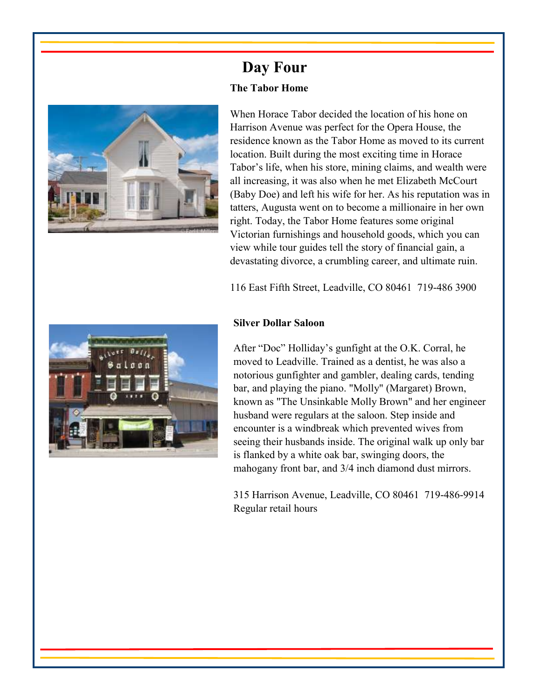

# **Day Four The Tabor Home**

When Horace Tabor decided the location of his hone on Harrison Avenue was perfect for the Opera House, the residence known as the Tabor Home as moved to its current location. Built during the most exciting time in Horace Tabor's life, when his store, mining claims, and wealth were all increasing, it was also when he met Elizabeth McCourt (Baby Doe) and left his wife for her. As his reputation was in tatters, Augusta went on to become a millionaire in her own right. Today, the Tabor Home features some original Victorian furnishings and household goods, which you can view while tour guides tell the story of financial gain, a devastating divorce, a crumbling career, and ultimate ruin.

116 East Fifth Street, Leadville, CO 80461 719-486 3900



### **Silver Dollar Saloon**

After "Doc" Holliday's gunfight at the O.K. Corral, he moved to Leadville. Trained as a dentist, he was also a notorious gunfighter and gambler, dealing cards, tending bar, and playing the piano. "Molly" (Margaret) Brown, known as "The Unsinkable Molly Brown" and her engineer husband were regulars at the saloon. Step inside and encounter is a windbreak which prevented wives from seeing their husbands inside. The original walk up only bar is flanked by a white oak bar, swinging doors, the mahogany front bar, and 3/4 inch diamond dust mirrors.

315 Harrison Avenue, Leadville, CO 80461 719-486-9914 Regular retail hours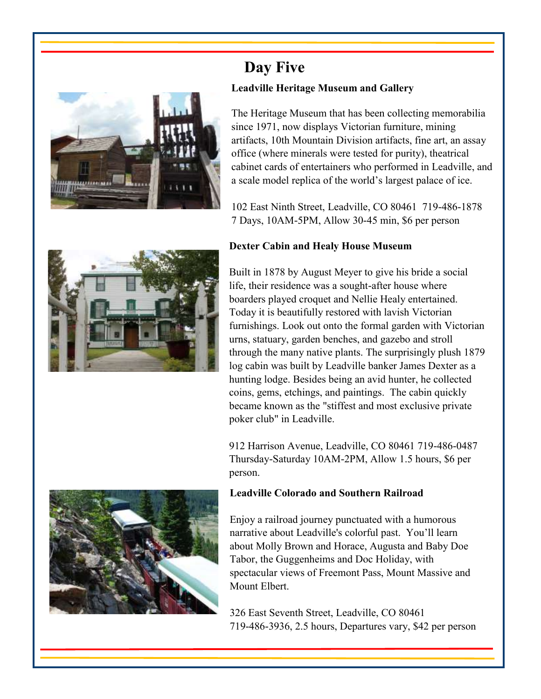

# **Day Five Leadville Heritage Museum and Gallery**

The Heritage Museum that has been collecting memorabilia since 1971, now displays Victorian furniture, mining artifacts, 10th Mountain Division artifacts, fine art, an assay office (where minerals were tested for purity), theatrical cabinet cards of entertainers who performed in Leadville, and a scale model replica of the world's largest palace of ice.

102 East Ninth Street, Leadville, CO 80461 719-486-1878 7 Days, 10AM-5PM, Allow 30-45 min, \$6 per person

# **Dexter Cabin and Healy House Museum**



912 Harrison Avenue, Leadville, CO 80461 719-486-0487 Thursday-Saturday 10AM-2PM, Allow 1.5 hours, \$6 per person.



### **Leadville Colorado and Southern Railroad**

Enjoy a railroad journey punctuated with a humorous narrative about Leadville's colorful past. You'll learn about Molly Brown and Horace, Augusta and Baby Doe Tabor, the Guggenheims and Doc Holiday, with spectacular views of Freemont Pass, Mount Massive and Mount Elbert.

326 East Seventh Street, Leadville, CO 80461 719-486-3936, 2.5 hours, Departures vary, \$42 per person

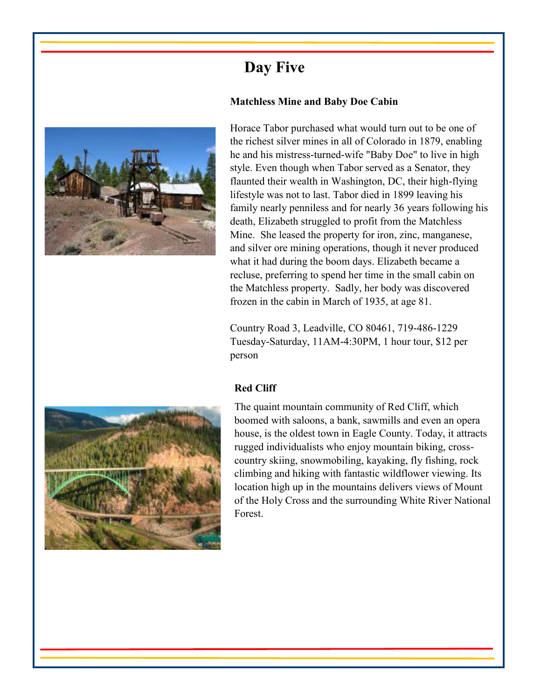# **Day Five**

## **Matchless Mine and Baby Doe Cabin**



Horace Tabor purchased what would turn out to be one of the richest silver mines in all of Colorado in 1879, enabling he and his mistress-turned-wife "Baby Doe" to live in high style. Even though when Tabor served as a Senator, they flaunted their wealth in Washington, DC, their high-flying lifestyle was not to last. Tabor died in 1899 leaving his family nearly penniless and for nearly 36 years following his death, Elizabeth struggled to profit from the Matchless Mine. She leased the property for iron, zinc, manganese, and silver ore mining operations, though it never produced what it had during the boom days. Elizabeth became a recluse, preferring to spend her time in the small cabin on the Matchless property. Sadly, her body was discovered frozen in the cabin in March of 1935, at age 81.

Country Road 3, Leadville, CO 80461, 719-486-1229 Tuesday-Saturday, 11AM-4:30PM, 1 hour tour, \$12 per person

### **Red Cliff**

The quaint mountain community of Red Cliff, which boomed with saloons, a bank, sawmills and even an opera house, is the oldest town in Eagle County. Today, it attracts rugged individualists who enjoy mountain biking, crosscountry skiing, snowmobiling, kayaking, fly fishing, rock climbing and hiking with fantastic wildflower viewing. Its location high up in the mountains delivers views of Mount of the Holy Cross and the surrounding White River National Forest.

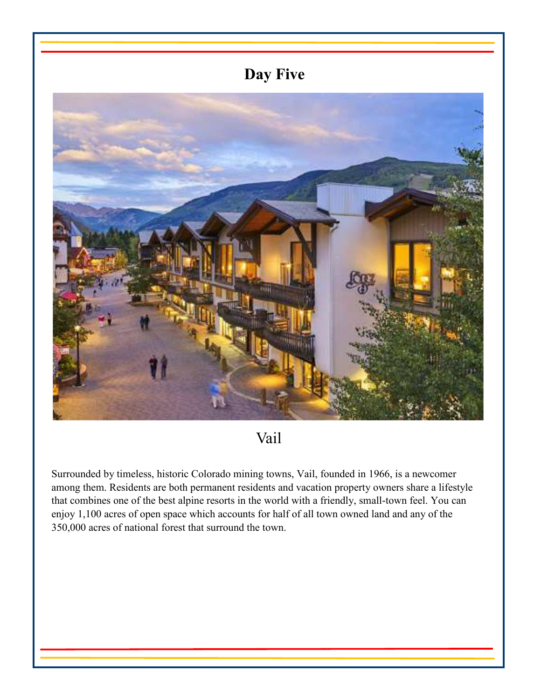# **Day Five**



Vail

Surrounded by timeless, historic Colorado mining towns, Vail, founded in 1966, is a newcomer among them. Residents are both permanent residents and vacation property owners share a lifestyle that combines one of the best alpine resorts in the world with a friendly, small-town feel. You can enjoy 1,100 acres of open space which accounts for half of all town owned land and any of the 350,000 acres of national forest that surround the town.